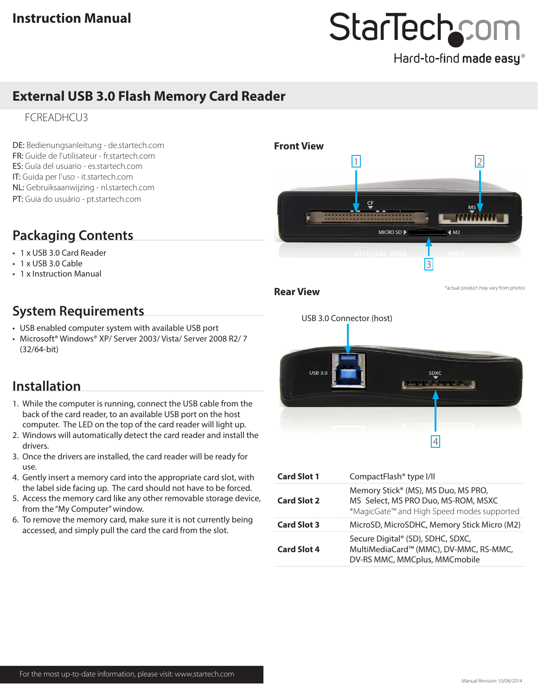## StarTechcom

Hard-to-find made easy®

### **External USB 3.0 Flash Memory Card Reader**

FCREADHCU3

DE: Bedienungsanleitung - de.startech.com FR: Guide de l'utilisateur - fr.startech.com ES: Guía del usuario - es.startech.com IT: Guida per l'uso - it.startech.com NL: Gebruiksaanwijzing - nl.startech.com PT: Guia do usuário - pt.startech.com

## **Packaging Contents**

- 1 x USB 3.0 Card Reader
- 1 x USB 3.0 Cable
- 1 x Instruction Manual

## **System Requirements**

- USB enabled computer system with available USB port
- Microsoft® Windows® XP/ Server 2003/ Vista/ Server 2008 R2/ 7 (32/64-bit)

## **Installation**

- 1. While the computer is running, connect the USB cable from the back of the card reader, to an available USB port on the host computer. The LED on the top of the card reader will light up.
- 2. Windows will automatically detect the card reader and install the drivers.
- 3. Once the drivers are installed, the card reader will be ready for use.
- 4. Gently insert a memory card into the appropriate card slot, with the label side facing up. The card should not have to be forced.
- 5. Access the memory card like any other removable storage device, from the "My Computer" window.
- 6. To remove the memory card, make sure it is not currently being accessed, and simply pull the card the card from the slot.



USB 3.0 Connector (host)**USB 3.0** s<sub>DXC</sub>

**Card Slot 1** CompactFlash® type I/II 4

| <b>Card Slot 2</b> | Memory Stick® (MS), MS Duo, MS PRO,<br>MS Select, MS PRO Duo, MS-ROM, MSXC<br>*MagicGate™ and High Speed modes supported |  |
|--------------------|--------------------------------------------------------------------------------------------------------------------------|--|
| <b>Card Slot 3</b> | MicroSD, MicroSDHC, Memory Stick Micro (M2)                                                                              |  |
| <b>Card Slot 4</b> | Secure Digital® (SD), SDHC, SDXC,<br>MultiMediaCard™ (MMC), DV-MMC, RS-MMC,<br>DV-RS MMC, MMCplus, MMCmobile             |  |
|                    |                                                                                                                          |  |